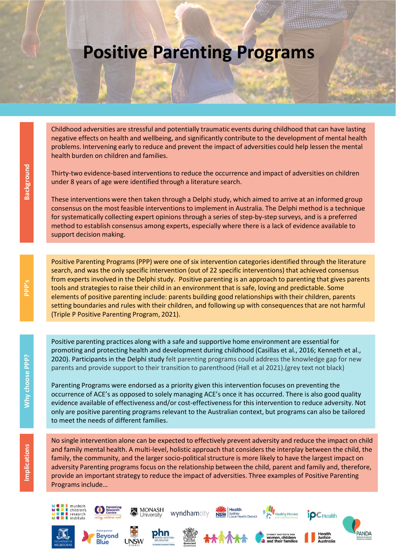## Positive Parenting Programs

**THEFFEREEDING** 

Childhood adversities are stressful and potentially traumatic events during childhood that can have lasting negative effects on health and wellbeing, and significantly contribute to the development of mental health problems. Intervening early to reduce and prevent the impact of adversities could help lessen the mental health burden on children and families.

Thirty-two evidence-based interventions to reduce the occurrence and impact of adversities on children under 8 years of age were identified through a literature search.

These interventions were then taken through a Delphi study, which aimed to arrive at an informed group consensus on the most feasible interventions to implement in Australia. The Delphi method is a technique for systematically collecting expert opinions through a series of step-by-step surveys, and is a preferred method to establish consensus among experts, especially where there is a lack of evidence available to support decision making.

Positive Parenting Programs (PPP) were one of six intervention categories identified through the literature search, and was the only specific intervention (out of 22 specific interventions) that achieved consensus Childhood adversities are stressful and potentially traumatic events during childhood that can have lasting<br>engative effects on health and wellbeing, and significantly contribute to the development of mental health<br>problem tools and strategies to raise their child in an environment that is safe, loving and predictable. Some elements of positive parenting include: parents building good relationships with their children, parents setting boundaries and rules with their children, and following up with consequences that are not harmful (Triple P Positive Parenting Program, 2021). Thirty-two evidence-based interventions to reduce the or<br>
the under 8 years of age were identified through a literature<br>
These interventions were then taken through a Delphi stt<br>
consensus on the most feasible intervention

Positive parenting practices along with a safe and supportive home environment are essential for promoting and protecting health and development during childhood (Casillas et al., 2016; Kenneth et al., 2020). Participants in the Delphi study felt parenting programs could address the knowledge gap for new parents and provide support to their transition to parenthood (Hall et al 2021).(grey text not black)

Parenting Programs were endorsed as a priority given this intervention focuses on preventing the occurrence of ACE's as opposed to solely managing ACE's once it has occurred. There is also good quality evidence available of effectiveness and/or cost-effectiveness for this intervention to reduce adversity. Not only are positive parenting programs relevant to the Australian context, but programs can also be tailored

No single intervention alone can be expected to effectively prevent adversity and reduce the impact on child and family mental health. A multi-level, holistic approach that considers the interplay between the child, the family, the community, and the larger socio-political structure is more likely to have the largest impact on **Example 19** Positive Parenting Programs , 2021).<br> **Consider the relationship between the relationship between the relationship of the relationship between the relationship between the relationship between the parenting an** provide an important strategy to reduce the impact of adversities. Three examples of Positive Parenting Programs include...<br>
and family mental health. A multi-level, holistic approach that considers the interplay between the child, the<br>
family, the community, and the larger socio-political structure is more likely to have th

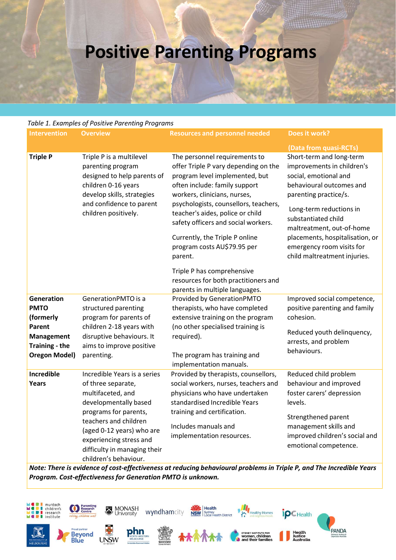## Positive Parenting Programs

## Table 1. Examples of Positive Parenting Programs

| Table 1. Examples of Positive Parenting Programs<br><b>Resources and personnel needed</b><br>Does it work?<br><b>Intervention</b><br><b>Overview</b><br>(Data from quasi-RCTs)<br>Triple P is a multilevel<br>The personnel requirements to<br>Short-term and long-term<br><b>Triple P</b><br>offer Triple P vary depending on the<br>improvements in children's<br>parenting program<br>designed to help parents of<br>program level implemented, but<br>social, emotional and<br>children 0-16 years<br>often include: family support<br>behavioural outcomes and<br>develop skills, strategies<br>workers, clinicians, nurses,<br>parenting practice/s.<br>and confidence to parent<br>psychologists, counsellors, teachers,<br>Long-term reductions in<br>teacher's aides, police or child<br>children positively.<br>substantiated child |
|-----------------------------------------------------------------------------------------------------------------------------------------------------------------------------------------------------------------------------------------------------------------------------------------------------------------------------------------------------------------------------------------------------------------------------------------------------------------------------------------------------------------------------------------------------------------------------------------------------------------------------------------------------------------------------------------------------------------------------------------------------------------------------------------------------------------------------------------------|
|                                                                                                                                                                                                                                                                                                                                                                                                                                                                                                                                                                                                                                                                                                                                                                                                                                               |
|                                                                                                                                                                                                                                                                                                                                                                                                                                                                                                                                                                                                                                                                                                                                                                                                                                               |
|                                                                                                                                                                                                                                                                                                                                                                                                                                                                                                                                                                                                                                                                                                                                                                                                                                               |
| safety officers and social workers.<br>maltreatment, out-of-home<br>Currently, the Triple P online<br>placements, hospitalisation, or<br>program costs AU\$79.95 per<br>emergency room visits for                                                                                                                                                                                                                                                                                                                                                                                                                                                                                                                                                                                                                                             |
| child maltreatment injuries.<br>parent.<br>Triple P has comprehensive<br>resources for both practitioners and<br>parents in multiple languages.                                                                                                                                                                                                                                                                                                                                                                                                                                                                                                                                                                                                                                                                                               |
| Improved social competence,<br>Generation<br>GenerationPMTO is a<br>Provided by GenerationPMTO<br><b>PMTO</b><br>positive parenting and family<br>structured parenting<br>therapists, who have completed<br>program for parents of<br>extensive training on the program<br>cohesion.<br>(formerly<br>children 2-18 years with<br>(no other specialised training is<br>Parent<br>Reduced youth delinquency,<br>disruptive behaviours. It<br><b>Management</b><br>required).<br>arrests, and problem<br><b>Training - the</b><br>aims to improve positive<br>behaviours.<br>The program has training and<br><b>Oregon Model)</b><br>parenting.<br>implementation manuals.                                                                                                                                                                       |
| Incredible<br>Incredible Years is a series<br>Provided by therapists, counsellors,<br>Reduced child problem<br>social workers, nurses, teachers and<br>behaviour and improved<br>Years<br>of three separate,<br>multifaceted, and<br>physicians who have undertaken<br>foster carers' depression<br>developmentally based<br>standardised Incredible Years<br>levels.<br>programs for parents,<br>training and certification.<br>Strengthened parent<br>teachers and children                                                                                                                                                                                                                                                                                                                                                                 |
| Includes manuals and<br>management skills and<br>(aged 0-12 years) who are<br>improved children's social and<br>implementation resources.<br>experiencing stress and<br>emotional competence.<br>difficulty in managing their<br>children's behaviour.                                                                                                                                                                                                                                                                                                                                                                                                                                                                                                                                                                                        |